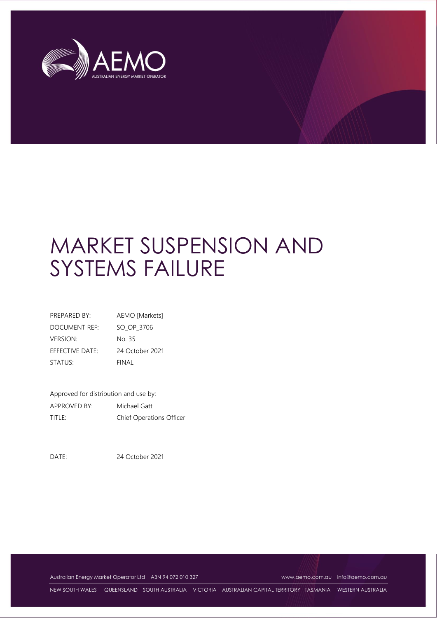

# MARKET SUSPENSION AND SYSTEMS FAILURE

| PREPARED BY:         | AEMO [Markets]  |
|----------------------|-----------------|
| <b>DOCUMENT REF:</b> | SO OP 3706      |
| <b>VERSION:</b>      | No 35           |
| EFFECTIVE DATE:      | 24 October 2021 |
| STATUS:              | FINAL           |

Approved for distribution and use by: APPROVED BY: Michael Gatt TITLE: Chief Operations Officer

DATE: 24 October 2021

Australian Energy Market Operator Ltd ABN 94 072 010 327 [www.aemo.com.au](http://www.aemo.com.au/) [info@aemo.com.au](mailto:info@aemo.com.au) info@aemo.com.au

NEW SOUTH WALES QUEENSLAND SOUTH AUSTRALIA VICTORIA AUSTRALIAN CAPITAL TERRITORY TASMANIA WESTERN AUSTRALIA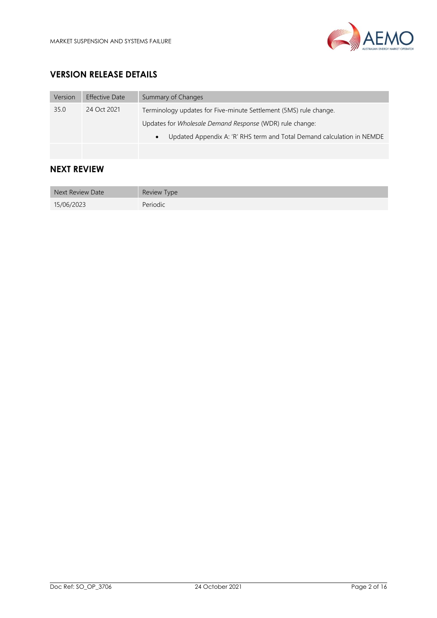

# **VERSION RELEASE DETAILS**

| Version | Effective Date | Summary of Changes                                                     |
|---------|----------------|------------------------------------------------------------------------|
| 35.0    | 24 Oct 2021    | Terminology updates for Five-minute Settlement (5MS) rule change.      |
|         |                | Updates for <i>Wholesale Demand Response</i> (WDR) rule change:        |
|         |                | Updated Appendix A: 'R' RHS term and Total Demand calculation in NEMDE |
|         |                |                                                                        |

# **NEXT REVIEW**

| Next Review Date | Review Type |
|------------------|-------------|
| 15/06/2023       | Periodic    |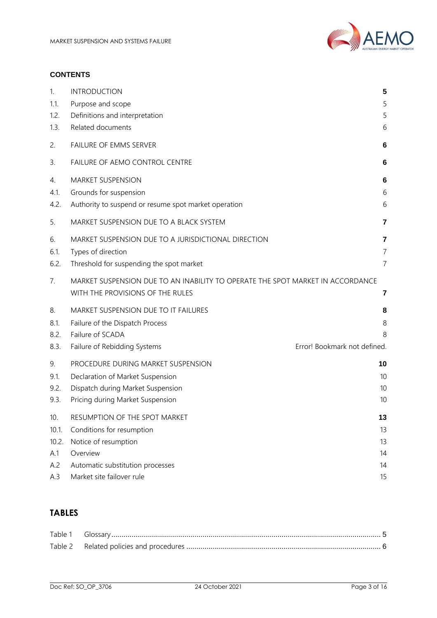

#### **CONTENTS**

| 1.                         | <b>INTRODUCTION</b>                                                                                                                                         | 5              |
|----------------------------|-------------------------------------------------------------------------------------------------------------------------------------------------------------|----------------|
| 1.1.                       | Purpose and scope                                                                                                                                           | 5              |
| 1.2.                       | Definitions and interpretation                                                                                                                              | 5              |
| 1.3.                       | Related documents                                                                                                                                           | 6              |
| 2.                         | FAILURE OF EMMS SERVER                                                                                                                                      | 6              |
| 3.                         | FAILURE OF AEMO CONTROL CENTRE                                                                                                                              | 6              |
| 4.                         | MARKET SUSPENSION                                                                                                                                           | 6              |
| 4.1.                       | Grounds for suspension                                                                                                                                      | 6              |
| 4.2.                       | Authority to suspend or resume spot market operation                                                                                                        | 6              |
| 5.                         | MARKET SUSPENSION DUE TO A BLACK SYSTEM                                                                                                                     | 7              |
| 6.                         | MARKET SUSPENSION DUE TO A JURISDICTIONAL DIRECTION                                                                                                         | 7              |
| 6.1.                       | Types of direction                                                                                                                                          | $\overline{7}$ |
| 6.2.                       | Threshold for suspending the spot market                                                                                                                    | $\overline{7}$ |
| 7.                         | MARKET SUSPENSION DUE TO AN INABILITY TO OPERATE THE SPOT MARKET IN ACCORDANCE<br>WITH THE PROVISIONS OF THE RULES                                          | 7              |
| 8.<br>8.1.<br>8.2.<br>8.3. | MARKET SUSPENSION DUE TO IT FAILURES<br>Failure of the Dispatch Process<br>Failure of SCADA<br>Error! Bookmark not defined.<br>Failure of Rebidding Systems | 8<br>8<br>8    |
| 9.                         | PROCEDURE DURING MARKET SUSPENSION                                                                                                                          | 10             |
| 9.1.                       | Declaration of Market Suspension                                                                                                                            | 10             |
| 9.2.                       | Dispatch during Market Suspension                                                                                                                           | 10             |
| 9.3.                       | Pricing during Market Suspension                                                                                                                            | 10             |
| 10.                        | RESUMPTION OF THE SPOT MARKET                                                                                                                               | 13             |
| 10.1.                      | Conditions for resumption                                                                                                                                   | 13             |
| 10.2.                      | Notice of resumption                                                                                                                                        | 13             |
| A.1                        | Overview                                                                                                                                                    | 14             |
| A.2                        | Automatic substitution processes                                                                                                                            | 14             |
| A.3                        | Market site failover rule                                                                                                                                   | 15             |

# **TABLES**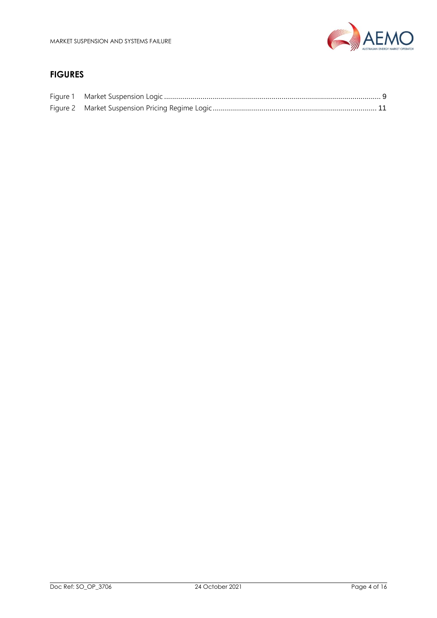

# **FIGURES**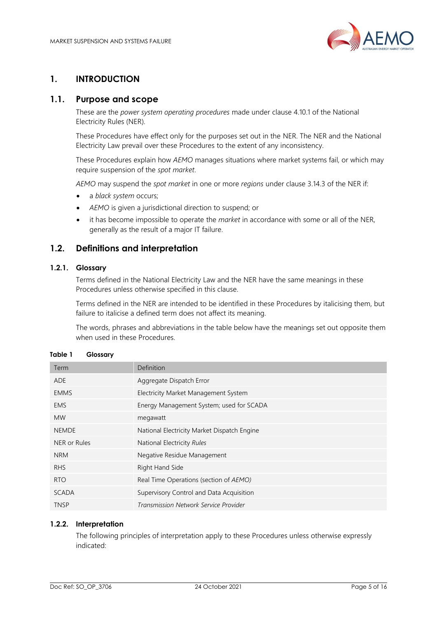

# <span id="page-4-0"></span>**1. INTRODUCTION**

#### <span id="page-4-1"></span>**1.1. Purpose and scope**

These are the *power system operating procedures* made under clause 4.10.1 of the National Electricity Rules (NER).

These Procedures have effect only for the purposes set out in the NER. The NER and the National Electricity Law prevail over these Procedures to the extent of any inconsistency.

These Procedures explain how *AEMO* manages situations where market systems fail, or which may require suspension of the *spot market*.

*AEMO* may suspend the *spot market* in one or more *regions* under clause 3.14.3 of the NER if:

- a *black system* occurs;
- *AEMO* is given a jurisdictional direction to suspend; or
- it has become impossible to operate the *market* in accordance with some or all of the NER, generally as the result of a major IT failure.

#### <span id="page-4-2"></span>**1.2. Definitions and interpretation**

#### **1.2.1. Glossary**

Terms defined in the National Electricity Law and the NER have the same meanings in these Procedures unless otherwise specified in this clause.

Terms defined in the NER are intended to be identified in these Procedures by italicising them, but failure to italicise a defined term does not affect its meaning.

The words, phrases and abbreviations in the table below have the meanings set out opposite them when used in these Procedures.

| Term             | Definition                                  |
|------------------|---------------------------------------------|
| <b>ADE</b>       | Aggregate Dispatch Error                    |
| <b>EMMS</b>      | Electricity Market Management System        |
| EMS.             | Energy Management System; used for SCADA    |
| <b>MW</b>        | megawatt                                    |
| <b>NEMDE</b>     | National Electricity Market Dispatch Engine |
| NER or Rules     | National Electricity Rules                  |
| <b>NRM</b>       | Negative Residue Management                 |
| <b>RHS</b>       | Right Hand Side                             |
| R <sub>T</sub> O | Real Time Operations (section of AEMO)      |
| <b>SCADA</b>     | Supervisory Control and Data Acquisition    |
| <b>TNSP</b>      | Transmission Network Service Provider       |
|                  |                                             |

#### <span id="page-4-3"></span>**Table 1 Glossary**

#### **1.2.2. Interpretation**

The following principles of interpretation apply to these Procedures unless otherwise expressly indicated: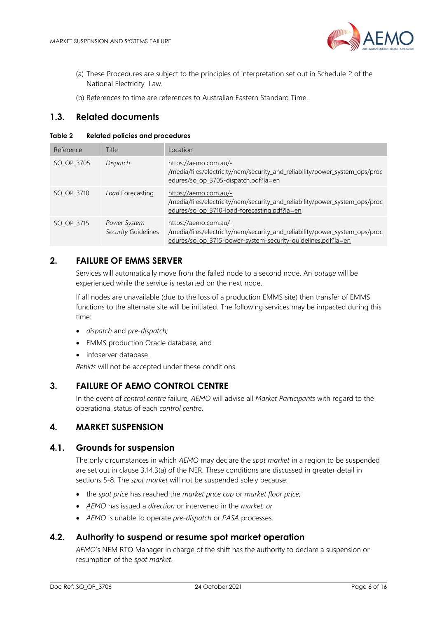

- (a) These Procedures are subject to the principles of interpretation set out in Schedule 2 of the National Electricity Law.
- (b) References to time are references to Australian Eastern Standard Time.

#### <span id="page-5-0"></span>**1.3. Related documents**

#### <span id="page-5-6"></span>**Table 2 Related policies and procedures**

| Reference  | Title                               | Location                                                                                                                                                             |
|------------|-------------------------------------|----------------------------------------------------------------------------------------------------------------------------------------------------------------------|
| SO OP 3705 | Dispatch                            | https://aemo.com.au/-<br>/media/files/electricity/nem/security_and_reliability/power_system_ops/proc<br>edures/so_op_3705-dispatch.pdf?la=en                         |
| SO OP 3710 | Load Forecasting                    | https://aemo.com.au/-<br>/media/files/electricity/nem/security and reliability/power system ops/proc<br>edures/so op 3710-load-forecasting.pdf?la=en                 |
| SO_OP_3715 | Power System<br>Security Guidelines | https://aemo.com.au/-<br>/media/files/electricity/nem/security and reliability/power system ops/proc<br>edures/so op 3715-power-system-security-quidelines.pdf?la=en |

#### <span id="page-5-1"></span>**2. FAILURE OF EMMS SERVER**

Services will automatically move from the failed node to a second node. An *outage* will be experienced while the service is restarted on the next node.

If all nodes are unavailable (due to the loss of a production EMMS site) then transfer of EMMS functions to the alternate site will be initiated. The following services may be impacted during this time:

- *dispatch* and *pre-dispatch;*
- EMMS production Oracle database; and
- infoserver database.

*Rebids* will not be accepted under these conditions.

#### <span id="page-5-2"></span>**3. FAILURE OF AEMO CONTROL CENTRE**

In the event of *control centre* failure, *AEMO* will advise all *Market Participants* with regard to the operational status of each *control centre*.

#### <span id="page-5-3"></span>**4. MARKET SUSPENSION**

#### <span id="page-5-4"></span>**4.1. Grounds for suspension**

The only circumstances in which *AEMO* may declare the *spot market* in a region to be suspended are set out in clause 3.14.3(a) of the NER. These conditions are discussed in greater detail in sections [5](#page-6-0)[-8.](#page-7-0) The *spot market* will not be suspended solely because:

- the *spot price* has reached the *market price cap* or *market floor price*;
- *AEMO* has issued a *direction* or intervened in the *market; or*
- *AEMO* is unable to operate *pre-dispatch* or *PASA* processes.

#### <span id="page-5-5"></span>**4.2. Authority to suspend or resume spot market operation**

*AEMO*'s NEM RTO Manager in charge of the shift has the authority to declare a suspension or resumption of the *spot market*.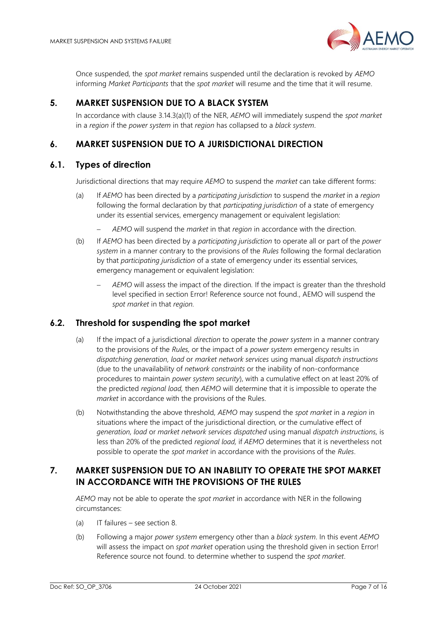

Once suspended, the *spot market* remains suspended until the declaration is revoked by *AEMO* informing *Market Participants* that the *spot market* will resume and the time that it will resume.

# <span id="page-6-0"></span>**5. MARKET SUSPENSION DUE TO A BLACK SYSTEM**

In accordance with clause 3.14.3(a)(1) of the NER, *AEMO* will immediately suspend the *spot market* in a *region* if the *power system* in that *region* has collapsed to a *black system*.

## <span id="page-6-1"></span>**6. MARKET SUSPENSION DUE TO A JURISDICTIONAL DIRECTION**

#### <span id="page-6-2"></span>**6.1. Types of direction**

Jurisdictional directions that may require *AEMO* to suspend the *market* can take different forms:

- (a) If *AEMO* has been directed by a *participating jurisdiction* to suspend the *market* in a *region* following the formal declaration by that *participating jurisdiction* of a state of emergency under its essential services, emergency management or equivalent legislation:
	- − *AEMO* will suspend the *market* in that *region* in accordance with the direction.
- (b) If *AEMO* has been directed by a *participating jurisdiction* to operate all or part of the *power system* in a manner contrary to the provisions of the *Rules* following the formal declaration by that *participating jurisdiction* of a state of emergency under its essential services, emergency management or equivalent legislation:
	- AEMO will assess the impact of the direction. If the impact is greater than the threshold level specified in section Error! Reference source not found., AEMO will suspend the *spot market* in that *region.*

#### <span id="page-6-3"></span>**6.2. Threshold for suspending the spot market**

- (a) If the impact of a jurisdictional *direction* to operate the *power system* in a manner contrary to the provisions of the *Rules,* or the impact of a *power system* emergency results in *dispatching generation, load* or *market network services* using manual *dispatch instructions* (due to the unavailability of *network constraints* or the inability of non-conformance procedures to maintain *power system security*), with a cumulative effect on at least 20% of the predicted *regional load,* then *AEMO* will determine that it is impossible to operate the *market* in accordance with the provisions of the Rules.
- (b) Notwithstanding the above threshold, *AEMO* may suspend the *spot market* in a *region* in situations where the impact of the jurisdictional direction*,* or the cumulative effect of *generation, load* or *market network services dispatched* using manual *dispatch instructions,* is less than 20% of the predicted *regional load,* if *AEMO* determines that it is nevertheless not possible to operate the *spot market* in accordance with the provisions of the *Rules*.

# <span id="page-6-4"></span>**7. MARKET SUSPENSION DUE TO AN INABILITY TO OPERATE THE SPOT MARKET IN ACCORDANCE WITH THE PROVISIONS OF THE RULES**

*AEMO* may not be able to operate the *spot market* in accordance with NER in the following circumstances:

- (a) IT failures see section [8.](#page-7-0)
- (b) Following a major *power system* emergency other than a *black system*. In this event *AEMO* will assess the impact on *spot market* operation using the threshold given in section Error! Reference source not found. to determine whether to suspend the *spot market*.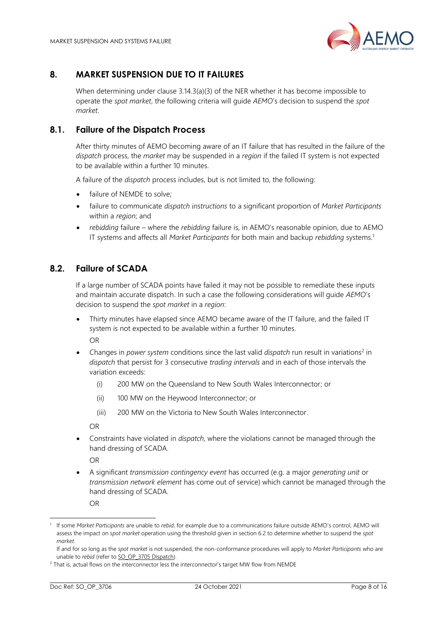

# <span id="page-7-0"></span>**8. MARKET SUSPENSION DUE TO IT FAILURES**

When determining under clause 3.14.3(a)(3) of the NER whether it has become impossible to operate the *spot market*, the following criteria will guide *AEMO*'s decision to suspend the *spot market*.

#### <span id="page-7-1"></span>**8.1. Failure of the Dispatch Process**

After thirty minutes of AEMO becoming aware of an IT failure that has resulted in the failure of the *dispatch* process, the *market* may be suspended in a *region* if the failed IT system is not expected to be available within a further 10 minutes.

A failure of the *dispatch* process includes, but is not limited to, the following:

- failure of NEMDE to solve:
- failure to communicate *dispatch instructions* to a significant proportion of *Market Participants* within a *region*; and
- *rebidding* failure where the *rebidding* failure is, in AEMO's reasonable opinion, due to AEMO IT systems and affects all *Market Participants* for both main and backup *rebidding* systems.<sup>1</sup>

#### <span id="page-7-2"></span>**8.2. Failure of SCADA**

If a large number of SCADA points have failed it may not be possible to remediate these inputs and maintain accurate dispatch. In such a case the following considerations will guide *AEMO*'s decision to suspend the *spot market* in a *region*:

- Thirty minutes have elapsed since AEMO became aware of the IT failure, and the failed IT system is not expected to be available within a further 10 minutes. OR
- Changes in *power system* conditions since the last valid *dispatch* run result in variations<sup>2</sup> in *dispatch* that persist for 3 consecutive *trading intervals* and in each of those intervals the variation exceeds:
	- (i) 200 MW on the Queensland to New South Wales Interconnector; or
	- (ii) 100 MW on the Heywood Interconnector; or
	- (iii) 200 MW on the Victoria to New South Wales Interconnector.

OR

• Constraints have violated in *dispatch*, where the violations cannot be managed through the hand dressing of SCADA.

OR

• A significant *transmission contingency event* has occurred (e.g. a major *generating unit* or *transmission network element* has come out of service) which cannot be managed through the hand dressing of SCADA.

OR

<sup>1</sup> If some *Market Participants* are unable to *rebid*, for example due to a communications failure outside AEMO's control, AEMO will assess the impact on *spot market* operation using the threshold given in section 6.2 to determine whether to suspend the *spot market*.

If and for so long as the *spot market* is not suspended, the non-conformance procedures will apply to *Market Participants* who are unable to *rebid* (refer to [SO\\_OP\\_3705 Dispatch\)](https://aemo.com.au/-/media/files/electricity/nem/security_and_reliability/power_system_ops/procedures/so_op_3705-dispatch.pdf?la=en).

<sup>&</sup>lt;sup>2</sup> That is, actual flows on the interconnector less the interconnector's target MW flow from NEMDE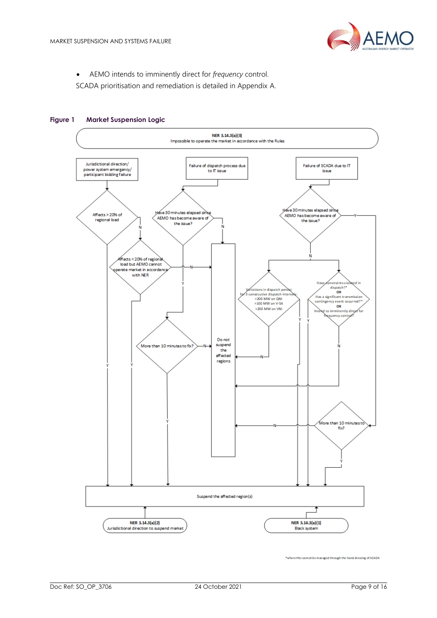

• AEMO intends to imminently direct for *frequency* control.

SCADA prioritisation and remediation is detailed in Appendix A.



#### <span id="page-8-0"></span>**Figure 1 Market Suspension Logic**

\*where this cannot be managed through the hand dressing of SCADA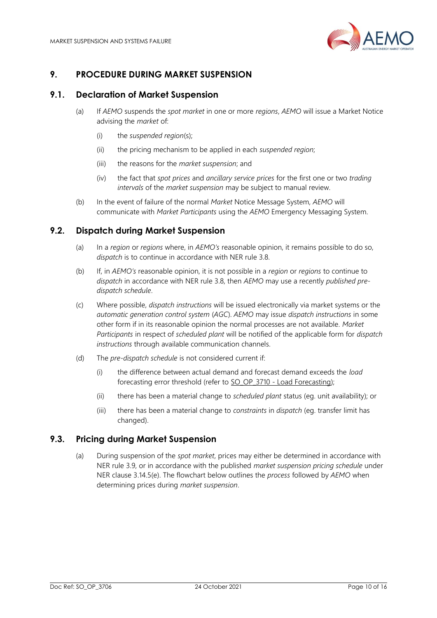

## <span id="page-9-0"></span>**9. PROCEDURE DURING MARKET SUSPENSION**

#### <span id="page-9-1"></span>**9.1. Declaration of Market Suspension**

- (a) If *AEMO* suspends the *spot market* in one or more *regions*, *AEMO* will issue a Market Notice advising the *market* of:
	- (i) the *suspended region*(s);
	- (ii) the pricing mechanism to be applied in each *suspended region*;
	- (iii) the reasons for the *market suspension*; and
	- (iv) the fact that *spot prices* and *ancillary service prices* for the first one or two *trading intervals* of the *market suspension* may be subject to manual review.
- (b) In the event of failure of the normal *Market* Notice Message System, *AEMO* will communicate with *Market Participants* using the *AEMO* Emergency Messaging System.

#### <span id="page-9-2"></span>**9.2. Dispatch during Market Suspension**

- (a) In a *region* or *regions* where, in *AEMO's* reasonable opinion, it remains possible to do so, *dispatch* is to continue in accordance with NER rule 3.8.
- (b) If, in *AEMO's* reasonable opinion, it is not possible in a *region* or *regions* to continue to *dispatch* in accordance with NER rule 3.8, then *AEMO* may use a recently *published predispatch schedule*.
- (c) Where possible, *dispatch instructions* will be issued electronically via market systems or the *automatic generation control system* (*AGC*). *AEMO* may issue *dispatch instructions* in some other form if in its reasonable opinion the normal processes are not available. *Market Participants* in respect of *scheduled plant* will be notified of the applicable form for *dispatch instructions* through available communication channels.
- (d) The *pre-dispatch schedule* is not considered current if:
	- (i) the difference between actual demand and forecast demand exceeds the *load* forecasting error threshold (refer to [SO\\_OP\\_3710 -](https://aemo.com.au/-/media/files/electricity/nem/security_and_reliability/power_system_ops/procedures/so_op_3710-load-forecasting.pdf?la=en) Load Forecasting);
	- (ii) there has been a material change to *scheduled plant* status (eg. unit availability); or
	- (iii) there has been a material change to *constraints* in *dispatch* (eg. transfer limit has changed).

#### <span id="page-9-3"></span>**9.3. Pricing during Market Suspension**

(a) During suspension of the *spot market*, prices may either be determined in accordance with NER rule 3.9, or in accordance with the published *market suspension pricing schedule* under NER clause 3.14.5(e). The flowchart below outlines the *process* followed by *AEMO* when determining prices during *market suspension*.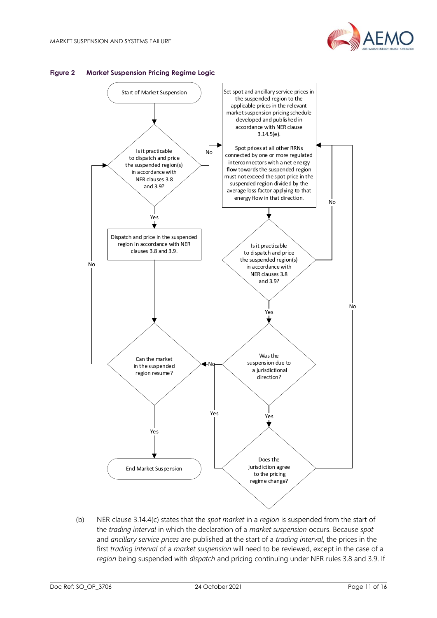



#### <span id="page-10-0"></span>**Figure 2 Market Suspension Pricing Regime Logic**

(b) NER clause 3.14.4(c) states that the *spot market* in a *region* is suspended from the start of the *trading interval* in which the declaration of a *market suspension* occurs. Because *spot* and *ancillary service prices* are published at the start of a *trading interval*, the prices in the first *trading interval* of a *market suspension* will need to be reviewed, except in the case of a *region* being suspended with *dispatch* and pricing continuing under NER rules 3.8 and 3.9. If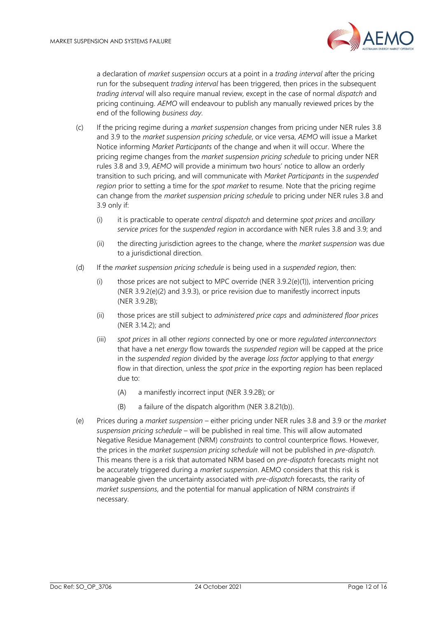

a declaration of *market suspension* occurs at a point in a *trading interval* after the pricing run for the subsequent *trading interval* has been triggered, then prices in the subsequent *trading interval* will also require manual review, except in the case of normal *dispatch* and pricing continuing. *AEMO* will endeavour to publish any manually reviewed prices by the end of the following *business day*.

- (c) If the pricing regime during a *market suspension* changes from pricing under NER rules 3.8 and 3.9 to the *market suspension pricing schedule*, or vice versa, *AEMO* will issue a Market Notice informing *Market Participants* of the change and when it will occur. Where the pricing regime changes from the *market suspension pricing schedule* to pricing under NER rules 3.8 and 3.9, *AEMO* will provide a minimum two hours' notice to allow an orderly transition to such pricing, and will communicate with *Market Participants* in the *suspended region* prior to setting a time for the *spot market* to resume. Note that the pricing regime can change from the *market suspension pricing schedule* to pricing under NER rules 3.8 and 3.9 only if:
	- (i) it is practicable to operate *central dispatch* and determine *spot prices* and *ancillary service prices* for the *suspended region* in accordance with NER rules 3.8 and 3.9; and
	- (ii) the directing jurisdiction agrees to the change, where the *market suspension* was due to a jurisdictional direction.
- (d) If the *market suspension pricing schedule* is being used in a *suspended region*, then:
	- (i) those prices are not subject to MPC override (NER 3.9.2(e)(1)), intervention pricing (NER 3.9.2(e)(2) and 3.9.3), or price revision due to manifestly incorrect inputs (NER 3.9.2B);
	- (ii) those prices are still subject to *administered price caps* and *administered floor prices* (NER 3.14.2); and
	- (iii) *spot prices* in all other *regions* connected by one or more *regulated interconnectors* that have a net *energy* flow towards the *suspended region* will be capped at the price in the *suspended region* divided by the average *loss factor* applying to that *energy* flow in that direction, unless the *spot price* in the exporting *region* has been replaced due to:
		- (A) a manifestly incorrect input (NER 3.9.2B); or
		- (B) a failure of the dispatch algorithm (NER 3.8.21(b)).
- (e) Prices during a *market suspension* either pricing under NER rules 3.8 and 3.9 or the *market suspension pricing schedule* – will be published in real time. This will allow automated Negative Residue Management (NRM) *constraints* to control counterprice flows. However, the prices in the *market suspension pricing schedule* will not be published in *pre-dispatch*. This means there is a risk that automated NRM based on *pre-dispatch* forecasts might not be accurately triggered during a *market suspension*. AEMO considers that this risk is manageable given the uncertainty associated with *pre-dispatch* forecasts, the rarity of *market suspensions*, and the potential for manual application of NRM *constraints* if necessary.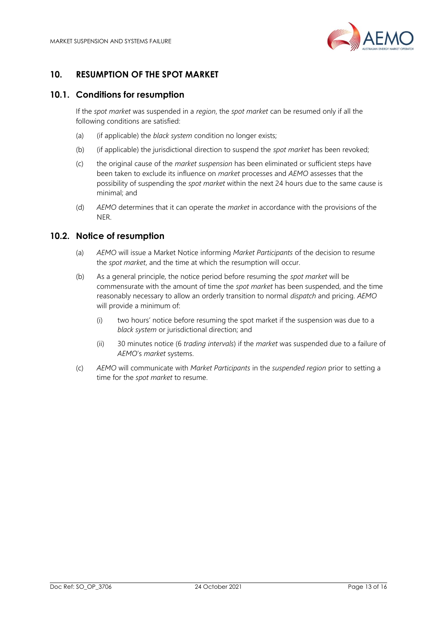

# <span id="page-12-0"></span>**10. RESUMPTION OF THE SPOT MARKET**

#### <span id="page-12-1"></span>**10.1. Conditions for resumption**

If the *spot market* was suspended in a *region*, the *spot market* can be resumed only if all the following conditions are satisfied:

- (a) (if applicable) the *black system* condition no longer exists;
- (b) (if applicable) the jurisdictional direction to suspend the *spot market* has been revoked;
- (c) the original cause of the *market suspension* has been eliminated or sufficient steps have been taken to exclude its influence on *market* processes and *AEMO* assesses that the possibility of suspending the *spot market* within the next 24 hours due to the same cause is minimal; and
- (d) *AEMO* determines that it can operate the *market* in accordance with the provisions of the NER.

#### <span id="page-12-2"></span>**10.2. Notice of resumption**

- (a) *AEMO* will issue a Market Notice informing *Market Participants* of the decision to resume the *spot market*, and the time at which the resumption will occur.
- (b) As a general principle, the notice period before resuming the *spot market* will be commensurate with the amount of time the *spot market* has been suspended, and the time reasonably necessary to allow an orderly transition to normal *dispatch* and pricing. *AEMO*  will provide a minimum of:
	- (i) two hours' notice before resuming the spot market if the suspension was due to a *black system* or jurisdictional direction; and
	- (ii) 30 minutes notice (6 *trading intervals*) if the *market* was suspended due to a failure of *AEMO*'s *market* systems.
- (c) *AEMO* will communicate with *Market Participants* in the *suspended region* prior to setting a time for the *spot market* to resume.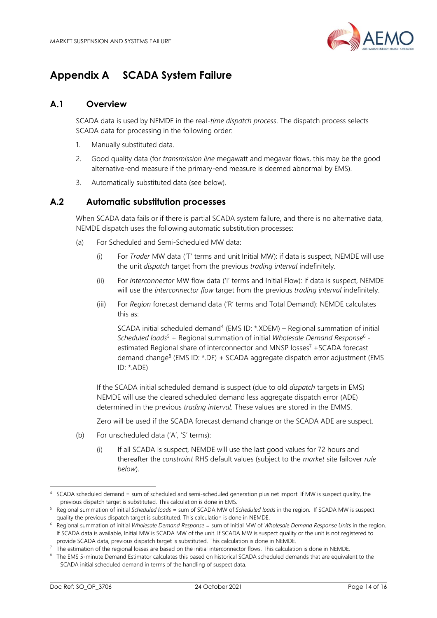

# **Appendix A SCADA System Failure**

## <span id="page-13-0"></span>**A.1 Overview**

SCADA data is used by NEMDE in the real-*time dispatch process*. The dispatch process selects SCADA data for processing in the following order:

- 1. Manually substituted data.
- 2. Good quality data (for *transmission line* megawatt and megavar flows, this may be the good alternative-end measure if the primary-end measure is deemed abnormal by EMS).
- 3. Automatically substituted data (see below).

#### <span id="page-13-1"></span>**A.2 Automatic substitution processes**

When SCADA data fails or if there is partial SCADA system failure, and there is no alternative data, NEMDE dispatch uses the following automatic substitution processes:

- (a) For Scheduled and Semi-Scheduled MW data:
	- (i) For *Trader* MW data ('T' terms and unit Initial MW): if data is suspect, NEMDE will use the unit *dispatch* target from the previous *trading interval* indefinitely.
	- (ii) For *Interconnector* MW flow data ('I' terms and Initial Flow): if data is suspect, NEMDE will use the *interconnector flow* target from the previous *trading interval* indefinitely.
	- (iii) For *Region* forecast demand data ('R' terms and Total Demand): NEMDE calculates this as:

 $SCADA$  initial scheduled demand<sup>4</sup> (EMS ID:  $*$ .XDEM) – Regional summation of initial *Scheduled loads* <sup>5</sup> + Regional summation of initial *Wholesale Demand Response*<sup>6</sup> estimated Regional share of interconnector and MNSP losses<sup>7</sup> +SCADA forecast demand change<sup>8</sup> (EMS ID: \*.DF) + SCADA aggregate dispatch error adjustment (EMS ID: \*.ADE)

If the SCADA initial scheduled demand is suspect (due to old *dispatch* targets in EMS) NEMDE will use the cleared scheduled demand less aggregate dispatch error (ADE) determined in the previous *trading interval*. These values are stored in the EMMS.

Zero will be used if the SCADA forecast demand change or the SCADA ADE are suspect.

- (b) For unscheduled data ('A', 'S' terms):
	- (i) If all SCADA is suspect, NEMDE will use the last good values for 72 hours and thereafter the *constraint* RHS default values (subject to the *market* site failover *rule below*).

<sup>4</sup> SCADA scheduled demand = sum of scheduled and semi-scheduled generation plus net import. If MW is suspect quality, the previous dispatch target is substituted. This calculation is done in EMS.

<sup>5</sup> Regional summation of initial *Scheduled loads* = sum of SCADA MW of *Scheduled loads* in the region. If SCADA MW is suspect quality the previous dispatch target is substituted. This calculation is done in NEMDE.

<sup>6</sup> Regional summation of initial *Wholesale Demand Response* = sum of Initial MW of *Wholesale Demand Response Units* in the region. If SCADA data is available, Initial MW is SCADA MW of the unit. If SCADA MW is suspect quality or the unit is not registered to provide SCADA data, previous dispatch target is substituted. This calculation is done in NEMDE.

The estimation of the regional losses are based on the initial interconnector flows. This calculation is done in NEMDE.

<sup>&</sup>lt;sup>8</sup> The EMS 5-minute Demand Estimator calculates this based on historical SCADA scheduled demands that are equivalent to the SCADA initial scheduled demand in terms of the handling of suspect data.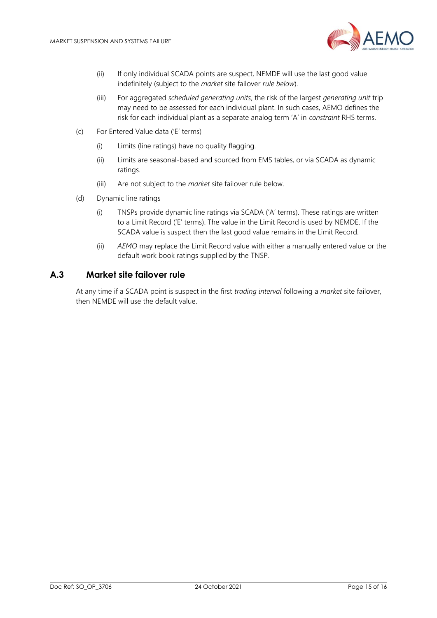

- (ii) If only individual SCADA points are suspect, NEMDE will use the last good value indefinitely (subject to the *market* site failover *rule below*).
- (iii) For aggregated *scheduled generating units*, the risk of the largest *generating unit* trip may need to be assessed for each individual plant. In such cases, AEMO defines the risk for each individual plant as a separate analog term 'A' in *constraint* RHS terms.
- (c) For Entered Value data ('E' terms)
	- (i) Limits (line ratings) have no quality flagging.
	- (ii) Limits are seasonal-based and sourced from EMS tables, or via SCADA as dynamic ratings.
	- (iii) Are not subject to the *market* site failover rule below.
- (d) Dynamic line ratings
	- (i) TNSPs provide dynamic line ratings via SCADA ('A' terms). These ratings are written to a Limit Record ('E' terms). The value in the Limit Record is used by NEMDE. If the SCADA value is suspect then the last good value remains in the Limit Record.
	- (ii) *AEMO* may replace the Limit Record value with either a manually entered value or the default work book ratings supplied by the TNSP.

#### <span id="page-14-0"></span>**A.3 Market site failover rule**

At any time if a SCADA point is suspect in the first *trading interval* following a *market* site failover, then NEMDE will use the default value.